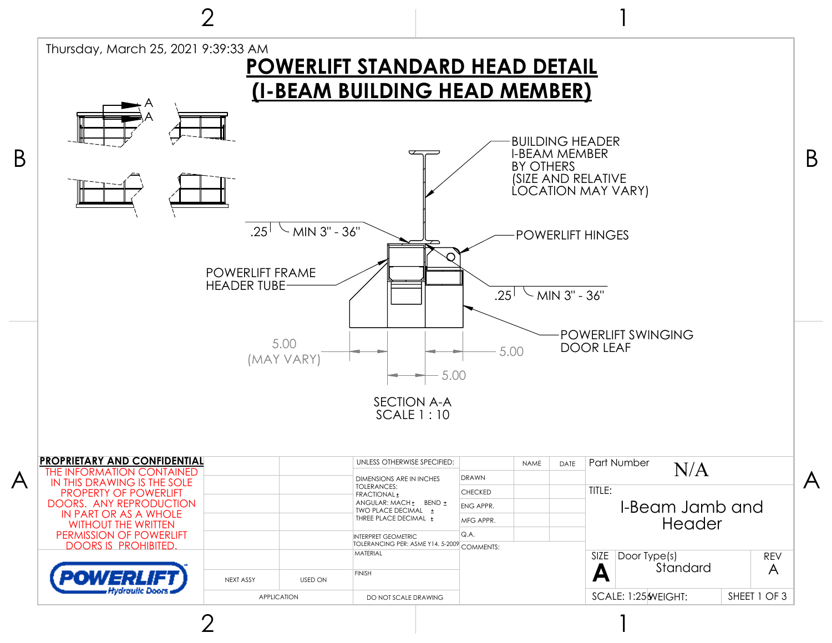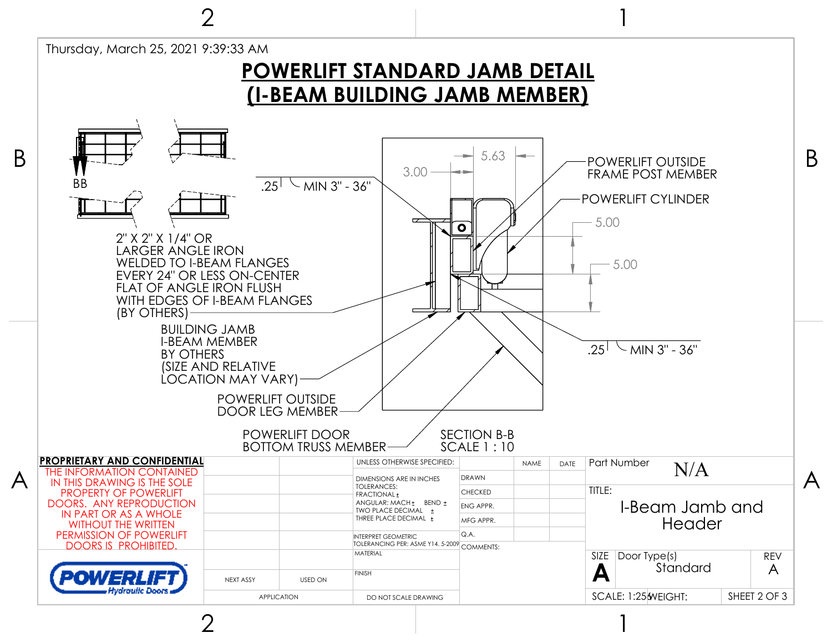